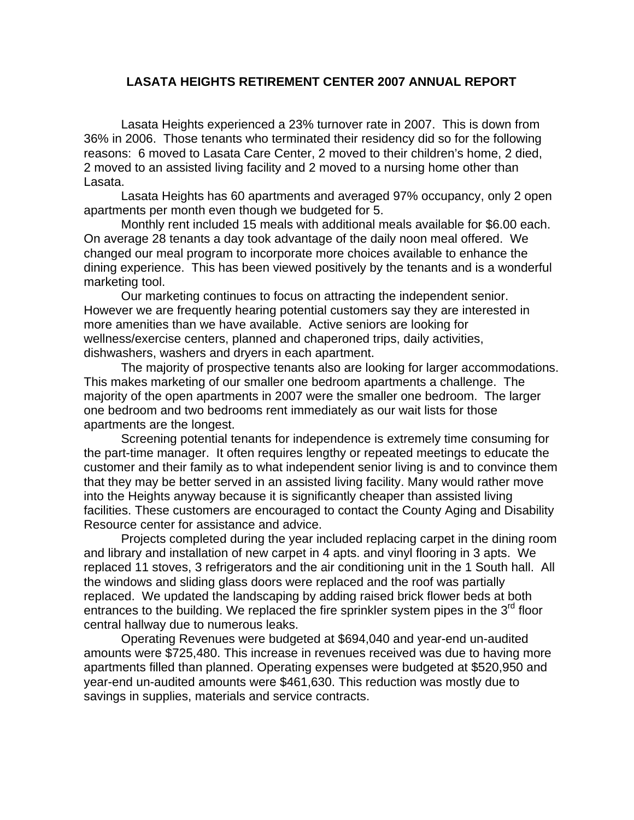## **LASATA HEIGHTS RETIREMENT CENTER 2007 ANNUAL REPORT**

Lasata Heights experienced a 23% turnover rate in 2007. This is down from 36% in 2006. Those tenants who terminated their residency did so for the following reasons: 6 moved to Lasata Care Center, 2 moved to their children's home, 2 died, 2 moved to an assisted living facility and 2 moved to a nursing home other than Lasata.

Lasata Heights has 60 apartments and averaged 97% occupancy, only 2 open apartments per month even though we budgeted for 5.

Monthly rent included 15 meals with additional meals available for \$6.00 each. On average 28 tenants a day took advantage of the daily noon meal offered. We changed our meal program to incorporate more choices available to enhance the dining experience. This has been viewed positively by the tenants and is a wonderful marketing tool.

Our marketing continues to focus on attracting the independent senior. However we are frequently hearing potential customers say they are interested in more amenities than we have available. Active seniors are looking for wellness/exercise centers, planned and chaperoned trips, daily activities, dishwashers, washers and dryers in each apartment.

The majority of prospective tenants also are looking for larger accommodations. This makes marketing of our smaller one bedroom apartments a challenge. The majority of the open apartments in 2007 were the smaller one bedroom. The larger one bedroom and two bedrooms rent immediately as our wait lists for those apartments are the longest.

Screening potential tenants for independence is extremely time consuming for the part-time manager. It often requires lengthy or repeated meetings to educate the customer and their family as to what independent senior living is and to convince them that they may be better served in an assisted living facility. Many would rather move into the Heights anyway because it is significantly cheaper than assisted living facilities. These customers are encouraged to contact the County Aging and Disability Resource center for assistance and advice.

Projects completed during the year included replacing carpet in the dining room and library and installation of new carpet in 4 apts. and vinyl flooring in 3 apts. We replaced 11 stoves, 3 refrigerators and the air conditioning unit in the 1 South hall. All the windows and sliding glass doors were replaced and the roof was partially replaced. We updated the landscaping by adding raised brick flower beds at both entrances to the building. We replaced the fire sprinkler system pipes in the  $3<sup>rd</sup>$  floor central hallway due to numerous leaks.

Operating Revenues were budgeted at \$694,040 and year-end un-audited amounts were \$725,480. This increase in revenues received was due to having more apartments filled than planned. Operating expenses were budgeted at \$520,950 and year-end un-audited amounts were \$461,630. This reduction was mostly due to savings in supplies, materials and service contracts.